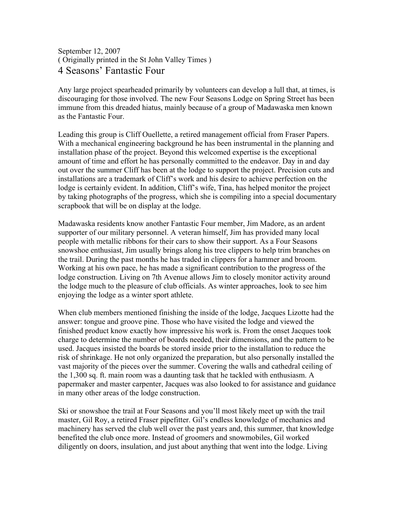## September 12, 2007 ( Originally printed in the St John Valley Times ) 4 Seasons' Fantastic Four

Any large project spearheaded primarily by volunteers can develop a lull that, at times, is discouraging for those involved. The new Four Seasons Lodge on Spring Street has been immune from this dreaded hiatus, mainly because of a group of Madawaska men known as the Fantastic Four.

Leading this group is Cliff Ouellette, a retired management official from Fraser Papers. With a mechanical engineering background he has been instrumental in the planning and installation phase of the project. Beyond this welcomed expertise is the exceptional amount of time and effort he has personally committed to the endeavor. Day in and day out over the summer Cliff has been at the lodge to support the project. Precision cuts and installations are a trademark of Cliff's work and his desire to achieve perfection on the lodge is certainly evident. In addition, Cliff's wife, Tina, has helped monitor the project by taking photographs of the progress, which she is compiling into a special documentary scrapbook that will be on display at the lodge.

Madawaska residents know another Fantastic Four member, Jim Madore, as an ardent supporter of our military personnel. A veteran himself, Jim has provided many local people with metallic ribbons for their cars to show their support. As a Four Seasons snowshoe enthusiast, Jim usually brings along his tree clippers to help trim branches on the trail. During the past months he has traded in clippers for a hammer and broom. Working at his own pace, he has made a significant contribution to the progress of the lodge construction. Living on 7th Avenue allows Jim to closely monitor activity around the lodge much to the pleasure of club officials. As winter approaches, look to see him enjoying the lodge as a winter sport athlete.

When club members mentioned finishing the inside of the lodge, Jacques Lizotte had the answer: tongue and groove pine. Those who have visited the lodge and viewed the finished product know exactly how impressive his work is. From the onset Jacques took charge to determine the number of boards needed, their dimensions, and the pattern to be used. Jacques insisted the boards be stored inside prior to the installation to reduce the risk of shrinkage. He not only organized the preparation, but also personally installed the vast majority of the pieces over the summer. Covering the walls and cathedral ceiling of the 1,300 sq. ft. main room was a daunting task that he tackled with enthusiasm. A papermaker and master carpenter, Jacques was also looked to for assistance and guidance in many other areas of the lodge construction.

Ski or snowshoe the trail at Four Seasons and you'll most likely meet up with the trail master, Gil Roy, a retired Fraser pipefitter. Gil's endless knowledge of mechanics and machinery has served the club well over the past years and, this summer, that knowledge benefited the club once more. Instead of groomers and snowmobiles, Gil worked diligently on doors, insulation, and just about anything that went into the lodge. Living